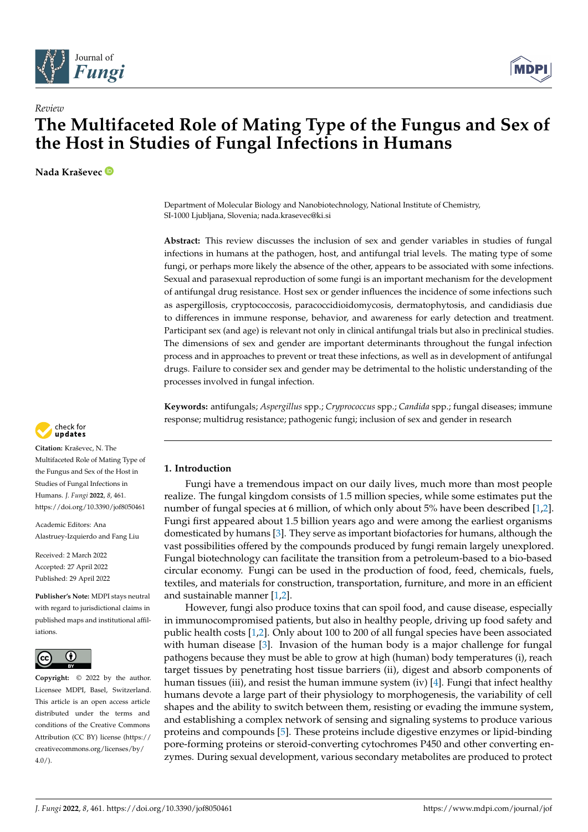



# **The Multifaceted Role of Mating Type of the Fungus and Sex of the Host in Studies of Fungal Infections in Humans**

**Nada Kraševec**

*Review*

Department of Molecular Biology and Nanobiotechnology, National Institute of Chemistry, SI-1000 Ljubljana, Slovenia; nada.krasevec@ki.si

**Abstract:** This review discusses the inclusion of sex and gender variables in studies of fungal infections in humans at the pathogen, host, and antifungal trial levels. The mating type of some fungi, or perhaps more likely the absence of the other, appears to be associated with some infections. Sexual and parasexual reproduction of some fungi is an important mechanism for the development of antifungal drug resistance. Host sex or gender influences the incidence of some infections such as aspergillosis, cryptococcosis, paracoccidioidomycosis, dermatophytosis, and candidiasis due to differences in immune response, behavior, and awareness for early detection and treatment. Participant sex (and age) is relevant not only in clinical antifungal trials but also in preclinical studies. The dimensions of sex and gender are important determinants throughout the fungal infection process and in approaches to prevent or treat these infections, as well as in development of antifungal drugs. Failure to consider sex and gender may be detrimental to the holistic understanding of the processes involved in fungal infection.

**Keywords:** antifungals; *Aspergillus* spp.; *Cryprococcus* spp.; *Candida* spp.; fungal diseases; immune response; multidrug resistance; pathogenic fungi; inclusion of sex and gender in research

# **1. Introduction**

Fungi have a tremendous impact on our daily lives, much more than most people realize. The fungal kingdom consists of 1.5 million species, while some estimates put the number of fungal species at 6 million, of which only about 5% have been described [\[1,](#page-12-0)[2\]](#page-12-1). Fungi first appeared about 1.5 billion years ago and were among the earliest organisms domesticated by humans [\[3\]](#page-12-2). They serve as important biofactories for humans, although the vast possibilities offered by the compounds produced by fungi remain largely unexplored. Fungal biotechnology can facilitate the transition from a petroleum-based to a bio-based circular economy. Fungi can be used in the production of food, feed, chemicals, fuels, textiles, and materials for construction, transportation, furniture, and more in an efficient and sustainable manner [\[1,](#page-12-0)[2\]](#page-12-1).

However, fungi also produce toxins that can spoil food, and cause disease, especially in immunocompromised patients, but also in healthy people, driving up food safety and public health costs [\[1,](#page-12-0)[2\]](#page-12-1). Only about 100 to 200 of all fungal species have been associated with human disease [\[3\]](#page-12-2). Invasion of the human body is a major challenge for fungal pathogens because they must be able to grow at high (human) body temperatures (i), reach target tissues by penetrating host tissue barriers (ii), digest and absorb components of human tissues (iii), and resist the human immune system (iv) [\[4\]](#page-12-3). Fungi that infect healthy humans devote a large part of their physiology to morphogenesis, the variability of cell shapes and the ability to switch between them, resisting or evading the immune system, and establishing a complex network of sensing and signaling systems to produce various proteins and compounds [\[5\]](#page-12-4). These proteins include digestive enzymes or lipid-binding pore-forming proteins or steroid-converting cytochromes P450 and other converting enzymes. During sexual development, various secondary metabolites are produced to protect



**Citation:** Kraševec, N. The Multifaceted Role of Mating Type of the Fungus and Sex of the Host in Studies of Fungal Infections in Humans. *J. Fungi* **2022**, *8*, 461. <https://doi.org/10.3390/jof8050461>

Academic Editors: Ana Alastruey-Izquierdo and Fang Liu

Received: 2 March 2022 Accepted: 27 April 2022 Published: 29 April 2022

**Publisher's Note:** MDPI stays neutral with regard to jurisdictional claims in published maps and institutional affiliations.



**Copyright:** © 2022 by the author. Licensee MDPI, Basel, Switzerland. This article is an open access article distributed under the terms and conditions of the Creative Commons Attribution (CC BY) license [\(https://](https://creativecommons.org/licenses/by/4.0/) [creativecommons.org/licenses/by/](https://creativecommons.org/licenses/by/4.0/)  $4.0/$ ).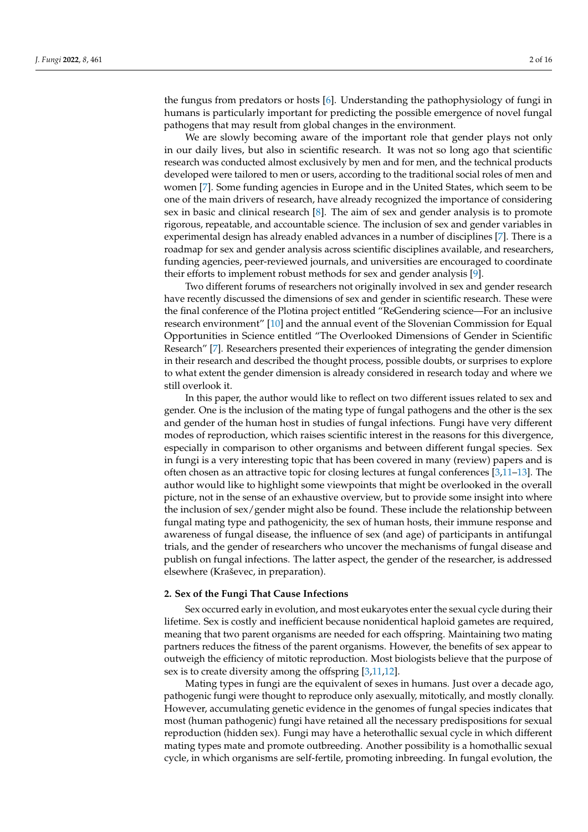the fungus from predators or hosts [\[6\]](#page-12-5). Understanding the pathophysiology of fungi in humans is particularly important for predicting the possible emergence of novel fungal pathogens that may result from global changes in the environment.

We are slowly becoming aware of the important role that gender plays not only in our daily lives, but also in scientific research. It was not so long ago that scientific research was conducted almost exclusively by men and for men, and the technical products developed were tailored to men or users, according to the traditional social roles of men and women [\[7\]](#page-12-6). Some funding agencies in Europe and in the United States, which seem to be one of the main drivers of research, have already recognized the importance of considering sex in basic and clinical research [\[8\]](#page-12-7). The aim of sex and gender analysis is to promote rigorous, repeatable, and accountable science. The inclusion of sex and gender variables in experimental design has already enabled advances in a number of disciplines [\[7\]](#page-12-6). There is a roadmap for sex and gender analysis across scientific disciplines available, and researchers, funding agencies, peer-reviewed journals, and universities are encouraged to coordinate their efforts to implement robust methods for sex and gender analysis [\[9\]](#page-12-8).

Two different forums of researchers not originally involved in sex and gender research have recently discussed the dimensions of sex and gender in scientific research. These were the final conference of the Plotina project entitled "ReGendering science—For an inclusive research environment" [\[10\]](#page-12-9) and the annual event of the Slovenian Commission for Equal Opportunities in Science entitled "The Overlooked Dimensions of Gender in Scientific Research" [\[7\]](#page-12-6). Researchers presented their experiences of integrating the gender dimension in their research and described the thought process, possible doubts, or surprises to explore to what extent the gender dimension is already considered in research today and where we still overlook it.

In this paper, the author would like to reflect on two different issues related to sex and gender. One is the inclusion of the mating type of fungal pathogens and the other is the sex and gender of the human host in studies of fungal infections. Fungi have very different modes of reproduction, which raises scientific interest in the reasons for this divergence, especially in comparison to other organisms and between different fungal species. Sex in fungi is a very interesting topic that has been covered in many (review) papers and is often chosen as an attractive topic for closing lectures at fungal conferences [\[3](#page-12-2)[,11–](#page-12-10)[13\]](#page-12-11). The author would like to highlight some viewpoints that might be overlooked in the overall picture, not in the sense of an exhaustive overview, but to provide some insight into where the inclusion of sex/gender might also be found. These include the relationship between fungal mating type and pathogenicity, the sex of human hosts, their immune response and awareness of fungal disease, the influence of sex (and age) of participants in antifungal trials, and the gender of researchers who uncover the mechanisms of fungal disease and publish on fungal infections. The latter aspect, the gender of the researcher, is addressed elsewhere (Kraševec, in preparation).

#### **2. Sex of the Fungi That Cause Infections**

Sex occurred early in evolution, and most eukaryotes enter the sexual cycle during their lifetime. Sex is costly and inefficient because nonidentical haploid gametes are required, meaning that two parent organisms are needed for each offspring. Maintaining two mating partners reduces the fitness of the parent organisms. However, the benefits of sex appear to outweigh the efficiency of mitotic reproduction. Most biologists believe that the purpose of sex is to create diversity among the offspring [\[3](#page-12-2)[,11](#page-12-10)[,12\]](#page-12-12).

Mating types in fungi are the equivalent of sexes in humans. Just over a decade ago, pathogenic fungi were thought to reproduce only asexually, mitotically, and mostly clonally. However, accumulating genetic evidence in the genomes of fungal species indicates that most (human pathogenic) fungi have retained all the necessary predispositions for sexual reproduction (hidden sex). Fungi may have a heterothallic sexual cycle in which different mating types mate and promote outbreeding. Another possibility is a homothallic sexual cycle, in which organisms are self-fertile, promoting inbreeding. In fungal evolution, the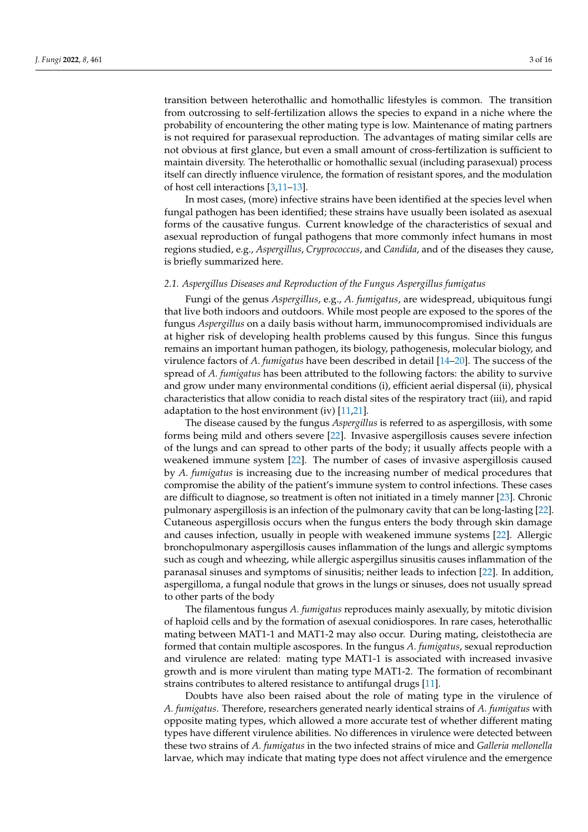transition between heterothallic and homothallic lifestyles is common. The transition from outcrossing to self-fertilization allows the species to expand in a niche where the probability of encountering the other mating type is low. Maintenance of mating partners is not required for parasexual reproduction. The advantages of mating similar cells are not obvious at first glance, but even a small amount of cross-fertilization is sufficient to maintain diversity. The heterothallic or homothallic sexual (including parasexual) process itself can directly influence virulence, the formation of resistant spores, and the modulation of host cell interactions [\[3](#page-12-2)[,11](#page-12-10)[–13\]](#page-12-11).

In most cases, (more) infective strains have been identified at the species level when fungal pathogen has been identified; these strains have usually been isolated as asexual forms of the causative fungus. Current knowledge of the characteristics of sexual and asexual reproduction of fungal pathogens that more commonly infect humans in most regions studied, e.g., *Aspergillus*, *Cryprococcus*, and *Candida*, and of the diseases they cause, is briefly summarized here.

#### *2.1. Aspergillus Diseases and Reproduction of the Fungus Aspergillus fumigatus*

Fungi of the genus *Aspergillus*, e.g., *A. fumigatus*, are widespread, ubiquitous fungi that live both indoors and outdoors. While most people are exposed to the spores of the fungus *Aspergillus* on a daily basis without harm, immunocompromised individuals are at higher risk of developing health problems caused by this fungus. Since this fungus remains an important human pathogen, its biology, pathogenesis, molecular biology, and virulence factors of *A. fumigatus* have been described in detail [\[14–](#page-12-13)[20\]](#page-13-0). The success of the spread of *A. fumigatus* has been attributed to the following factors: the ability to survive and grow under many environmental conditions (i), efficient aerial dispersal (ii), physical characteristics that allow conidia to reach distal sites of the respiratory tract (iii), and rapid adaptation to the host environment (iv)  $[11,21]$  $[11,21]$ .

The disease caused by the fungus *Aspergillus* is referred to as aspergillosis, with some forms being mild and others severe [\[22\]](#page-13-2). Invasive aspergillosis causes severe infection of the lungs and can spread to other parts of the body; it usually affects people with a weakened immune system [\[22\]](#page-13-2). The number of cases of invasive aspergillosis caused by *A. fumigatus* is increasing due to the increasing number of medical procedures that compromise the ability of the patient's immune system to control infections. These cases are difficult to diagnose, so treatment is often not initiated in a timely manner [\[23\]](#page-13-3). Chronic pulmonary aspergillosis is an infection of the pulmonary cavity that can be long-lasting [\[22\]](#page-13-2). Cutaneous aspergillosis occurs when the fungus enters the body through skin damage and causes infection, usually in people with weakened immune systems [\[22\]](#page-13-2). Allergic bronchopulmonary aspergillosis causes inflammation of the lungs and allergic symptoms such as cough and wheezing, while allergic aspergillus sinusitis causes inflammation of the paranasal sinuses and symptoms of sinusitis; neither leads to infection [\[22\]](#page-13-2). In addition, aspergilloma, a fungal nodule that grows in the lungs or sinuses, does not usually spread to other parts of the body

The filamentous fungus *A. fumigatus* reproduces mainly asexually, by mitotic division of haploid cells and by the formation of asexual conidiospores. In rare cases, heterothallic mating between MAT1-1 and MAT1-2 may also occur. During mating, cleistothecia are formed that contain multiple ascospores. In the fungus *A. fumigatus*, sexual reproduction and virulence are related: mating type MAT1-1 is associated with increased invasive growth and is more virulent than mating type MAT1-2. The formation of recombinant strains contributes to altered resistance to antifungal drugs [\[11\]](#page-12-10).

Doubts have also been raised about the role of mating type in the virulence of *A. fumigatus*. Therefore, researchers generated nearly identical strains of *A. fumigatus* with opposite mating types, which allowed a more accurate test of whether different mating types have different virulence abilities. No differences in virulence were detected between these two strains of *A. fumigatus* in the two infected strains of mice and *Galleria mellonella* larvae, which may indicate that mating type does not affect virulence and the emergence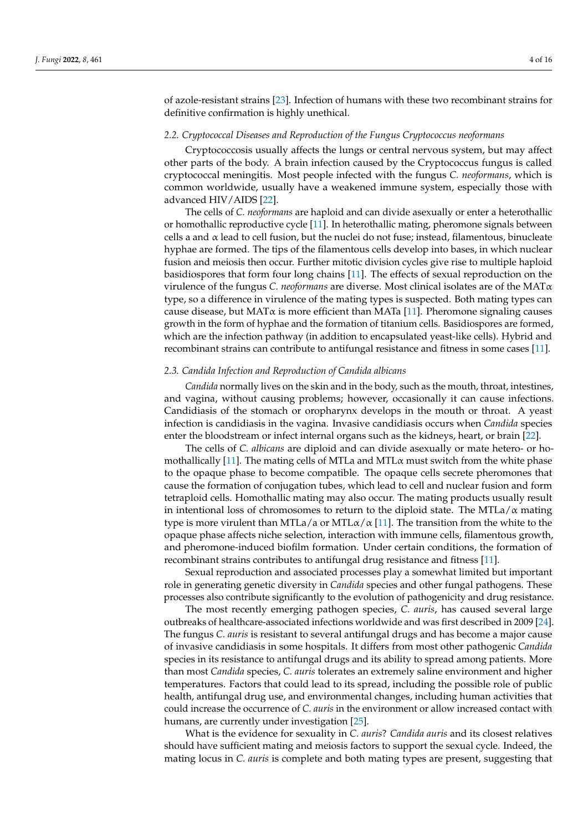of azole-resistant strains [\[23\]](#page-13-3). Infection of humans with these two recombinant strains for definitive confirmation is highly unethical.

#### *2.2. Cryptococcal Diseases and Reproduction of the Fungus Cryptococcus neoformans*

Cryptococcosis usually affects the lungs or central nervous system, but may affect other parts of the body. A brain infection caused by the Cryptococcus fungus is called cryptococcal meningitis. Most people infected with the fungus *C. neoformans*, which is common worldwide, usually have a weakened immune system, especially those with advanced HIV/AIDS [\[22\]](#page-13-2).

The cells of *C. neoformans* are haploid and can divide asexually or enter a heterothallic or homothallic reproductive cycle [\[11\]](#page-12-10). In heterothallic mating, pheromone signals between cells a and  $\alpha$  lead to cell fusion, but the nuclei do not fuse; instead, filamentous, binucleate hyphae are formed. The tips of the filamentous cells develop into bases, in which nuclear fusion and meiosis then occur. Further mitotic division cycles give rise to multiple haploid basidiospores that form four long chains [\[11\]](#page-12-10). The effects of sexual reproduction on the virulence of the fungus *C. neoformans* are diverse. Most clinical isolates are of the MATα type, so a difference in virulence of the mating types is suspected. Both mating types can cause disease, but MAT $\alpha$  is more efficient than MATa [\[11\]](#page-12-10). Pheromone signaling causes growth in the form of hyphae and the formation of titanium cells. Basidiospores are formed, which are the infection pathway (in addition to encapsulated yeast-like cells). Hybrid and recombinant strains can contribute to antifungal resistance and fitness in some cases [\[11\]](#page-12-10).

# *2.3. Candida Infection and Reproduction of Candida albicans*

*Candida* normally lives on the skin and in the body, such as the mouth, throat, intestines, and vagina, without causing problems; however, occasionally it can cause infections. Candidiasis of the stomach or oropharynx develops in the mouth or throat. A yeast infection is candidiasis in the vagina. Invasive candidiasis occurs when *Candida* species enter the bloodstream or infect internal organs such as the kidneys, heart, or brain [\[22\]](#page-13-2).

The cells of *C. albicans* are diploid and can divide asexually or mate hetero- or ho-mothallically [\[11\]](#page-12-10). The mating cells of MTLa and MTL $\alpha$  must switch from the white phase to the opaque phase to become compatible. The opaque cells secrete pheromones that cause the formation of conjugation tubes, which lead to cell and nuclear fusion and form tetraploid cells. Homothallic mating may also occur. The mating products usually result in intentional loss of chromosomes to return to the diploid state. The MTLa/ $\alpha$  mating type is more virulent than MTLa/a or MTL $\alpha/\alpha$  [\[11\]](#page-12-10). The transition from the white to the opaque phase affects niche selection, interaction with immune cells, filamentous growth, and pheromone-induced biofilm formation. Under certain conditions, the formation of recombinant strains contributes to antifungal drug resistance and fitness [\[11\]](#page-12-10).

Sexual reproduction and associated processes play a somewhat limited but important role in generating genetic diversity in *Candida* species and other fungal pathogens. These processes also contribute significantly to the evolution of pathogenicity and drug resistance.

The most recently emerging pathogen species, *C. auris*, has caused several large outbreaks of healthcare-associated infections worldwide and was first described in 2009 [\[24\]](#page-13-4). The fungus *C. auris* is resistant to several antifungal drugs and has become a major cause of invasive candidiasis in some hospitals. It differs from most other pathogenic *Candida* species in its resistance to antifungal drugs and its ability to spread among patients. More than most *Candida* species, *C. auris* tolerates an extremely saline environment and higher temperatures. Factors that could lead to its spread, including the possible role of public health, antifungal drug use, and environmental changes, including human activities that could increase the occurrence of *C. auris* in the environment or allow increased contact with humans, are currently under investigation [\[25\]](#page-13-5).

What is the evidence for sexuality in *C. auris*? *Candida auris* and its closest relatives should have sufficient mating and meiosis factors to support the sexual cycle. Indeed, the mating locus in *C. auris* is complete and both mating types are present, suggesting that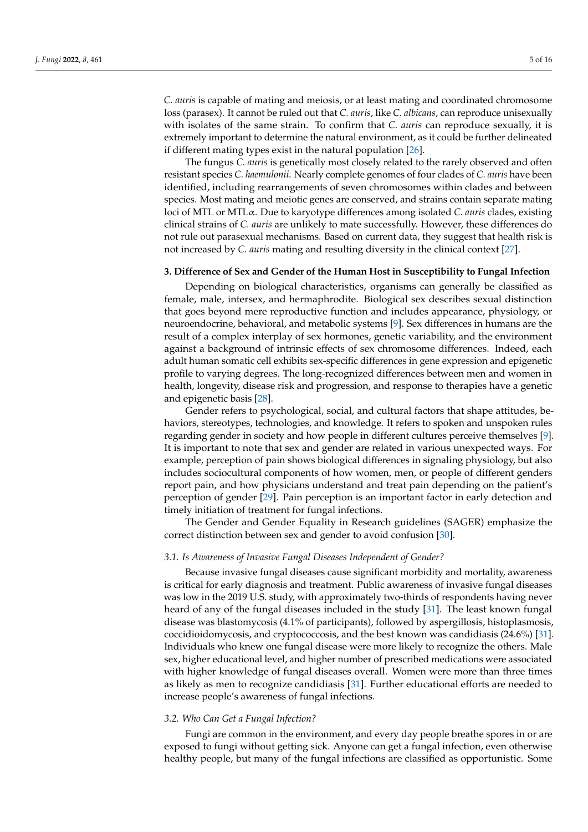*C. auris* is capable of mating and meiosis, or at least mating and coordinated chromosome loss (parasex). It cannot be ruled out that *C. auris*, like *C. albicans*, can reproduce unisexually with isolates of the same strain. To confirm that *C. auris* can reproduce sexually, it is extremely important to determine the natural environment, as it could be further delineated if different mating types exist in the natural population [\[26\]](#page-13-6).

The fungus *C. auris* is genetically most closely related to the rarely observed and often resistant species *C. haemulonii*. Nearly complete genomes of four clades of *C. auris* have been identified, including rearrangements of seven chromosomes within clades and between species. Most mating and meiotic genes are conserved, and strains contain separate mating loci of MTL or MTLα. Due to karyotype differences among isolated *C. auris* clades, existing clinical strains of *C. auris* are unlikely to mate successfully. However, these differences do not rule out parasexual mechanisms. Based on current data, they suggest that health risk is not increased by *C. auris* mating and resulting diversity in the clinical context [\[27\]](#page-13-7).

#### **3. Difference of Sex and Gender of the Human Host in Susceptibility to Fungal Infection**

Depending on biological characteristics, organisms can generally be classified as female, male, intersex, and hermaphrodite. Biological sex describes sexual distinction that goes beyond mere reproductive function and includes appearance, physiology, or neuroendocrine, behavioral, and metabolic systems [\[9\]](#page-12-8). Sex differences in humans are the result of a complex interplay of sex hormones, genetic variability, and the environment against a background of intrinsic effects of sex chromosome differences. Indeed, each adult human somatic cell exhibits sex-specific differences in gene expression and epigenetic profile to varying degrees. The long-recognized differences between men and women in health, longevity, disease risk and progression, and response to therapies have a genetic and epigenetic basis [\[28\]](#page-13-8).

Gender refers to psychological, social, and cultural factors that shape attitudes, behaviors, stereotypes, technologies, and knowledge. It refers to spoken and unspoken rules regarding gender in society and how people in different cultures perceive themselves [\[9\]](#page-12-8). It is important to note that sex and gender are related in various unexpected ways. For example, perception of pain shows biological differences in signaling physiology, but also includes sociocultural components of how women, men, or people of different genders report pain, and how physicians understand and treat pain depending on the patient's perception of gender [\[29\]](#page-13-9). Pain perception is an important factor in early detection and timely initiation of treatment for fungal infections.

The Gender and Gender Equality in Research guidelines (SAGER) emphasize the correct distinction between sex and gender to avoid confusion [\[30\]](#page-13-10).

#### *3.1. Is Awareness of Invasive Fungal Diseases Independent of Gender?*

Because invasive fungal diseases cause significant morbidity and mortality, awareness is critical for early diagnosis and treatment. Public awareness of invasive fungal diseases was low in the 2019 U.S. study, with approximately two-thirds of respondents having never heard of any of the fungal diseases included in the study [\[31\]](#page-13-11). The least known fungal disease was blastomycosis (4.1% of participants), followed by aspergillosis, histoplasmosis, coccidioidomycosis, and cryptococcosis, and the best known was candidiasis (24.6%) [\[31\]](#page-13-11). Individuals who knew one fungal disease were more likely to recognize the others. Male sex, higher educational level, and higher number of prescribed medications were associated with higher knowledge of fungal diseases overall. Women were more than three times as likely as men to recognize candidiasis [\[31\]](#page-13-11). Further educational efforts are needed to increase people's awareness of fungal infections.

# *3.2. Who Can Get a Fungal Infection?*

Fungi are common in the environment, and every day people breathe spores in or are exposed to fungi without getting sick. Anyone can get a fungal infection, even otherwise healthy people, but many of the fungal infections are classified as opportunistic. Some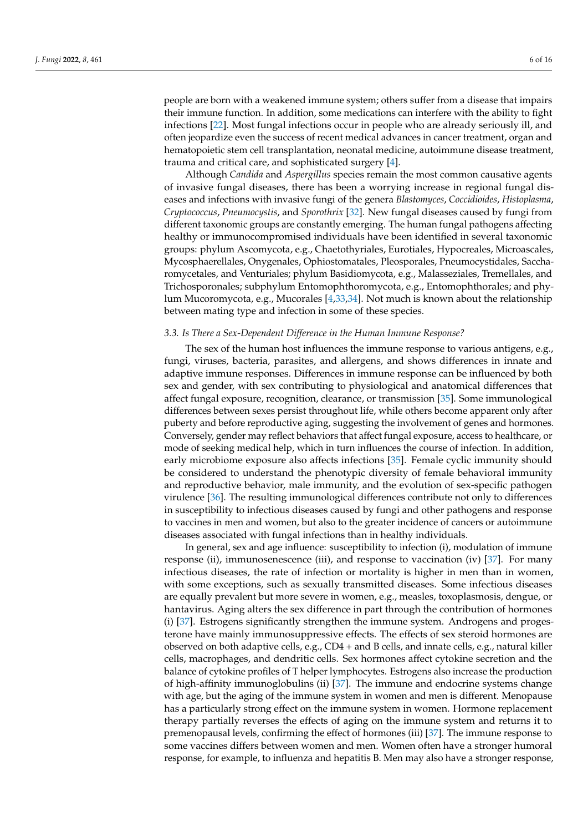people are born with a weakened immune system; others suffer from a disease that impairs their immune function. In addition, some medications can interfere with the ability to fight infections [\[22\]](#page-13-2). Most fungal infections occur in people who are already seriously ill, and often jeopardize even the success of recent medical advances in cancer treatment, organ and hematopoietic stem cell transplantation, neonatal medicine, autoimmune disease treatment, trauma and critical care, and sophisticated surgery [\[4\]](#page-12-3).

Although *Candida* and *Aspergillus* species remain the most common causative agents of invasive fungal diseases, there has been a worrying increase in regional fungal diseases and infections with invasive fungi of the genera *Blastomyces*, *Coccidioides*, *Histoplasma*, *Cryptococcus*, *Pneumocystis*, and *Sporothrix* [\[32\]](#page-13-12). New fungal diseases caused by fungi from different taxonomic groups are constantly emerging. The human fungal pathogens affecting healthy or immunocompromised individuals have been identified in several taxonomic groups: phylum Ascomycota, e.g., Chaetothyriales, Eurotiales, Hypocreales, Microascales, Mycosphaerellales, Onygenales, Ophiostomatales, Pleosporales, Pneumocystidales, Saccharomycetales, and Venturiales; phylum Basidiomycota, e.g., Malasseziales, Tremellales, and Trichosporonales; subphylum Entomophthoromycota, e.g., Entomophthorales; and phylum Mucoromycota, e.g., Mucorales [\[4,](#page-12-3)[33,](#page-13-13)[34\]](#page-13-14). Not much is known about the relationship between mating type and infection in some of these species.

#### *3.3. Is There a Sex-Dependent Difference in the Human Immune Response?*

The sex of the human host influences the immune response to various antigens, e.g., fungi, viruses, bacteria, parasites, and allergens, and shows differences in innate and adaptive immune responses. Differences in immune response can be influenced by both sex and gender, with sex contributing to physiological and anatomical differences that affect fungal exposure, recognition, clearance, or transmission [\[35\]](#page-13-15). Some immunological differences between sexes persist throughout life, while others become apparent only after puberty and before reproductive aging, suggesting the involvement of genes and hormones. Conversely, gender may reflect behaviors that affect fungal exposure, access to healthcare, or mode of seeking medical help, which in turn influences the course of infection. In addition, early microbiome exposure also affects infections [\[35\]](#page-13-15). Female cyclic immunity should be considered to understand the phenotypic diversity of female behavioral immunity and reproductive behavior, male immunity, and the evolution of sex-specific pathogen virulence [\[36\]](#page-13-16). The resulting immunological differences contribute not only to differences in susceptibility to infectious diseases caused by fungi and other pathogens and response to vaccines in men and women, but also to the greater incidence of cancers or autoimmune diseases associated with fungal infections than in healthy individuals.

In general, sex and age influence: susceptibility to infection (i), modulation of immune response (ii), immunosenescence (iii), and response to vaccination (iv) [\[37\]](#page-13-17). For many infectious diseases, the rate of infection or mortality is higher in men than in women, with some exceptions, such as sexually transmitted diseases. Some infectious diseases are equally prevalent but more severe in women, e.g., measles, toxoplasmosis, dengue, or hantavirus. Aging alters the sex difference in part through the contribution of hormones (i) [\[37\]](#page-13-17). Estrogens significantly strengthen the immune system. Androgens and progesterone have mainly immunosuppressive effects. The effects of sex steroid hormones are observed on both adaptive cells, e.g., CD4 + and B cells, and innate cells, e.g., natural killer cells, macrophages, and dendritic cells. Sex hormones affect cytokine secretion and the balance of cytokine profiles of T helper lymphocytes. Estrogens also increase the production of high-affinity immunoglobulins (ii) [\[37\]](#page-13-17). The immune and endocrine systems change with age, but the aging of the immune system in women and men is different. Menopause has a particularly strong effect on the immune system in women. Hormone replacement therapy partially reverses the effects of aging on the immune system and returns it to premenopausal levels, confirming the effect of hormones (iii) [\[37\]](#page-13-17). The immune response to some vaccines differs between women and men. Women often have a stronger humoral response, for example, to influenza and hepatitis B. Men may also have a stronger response,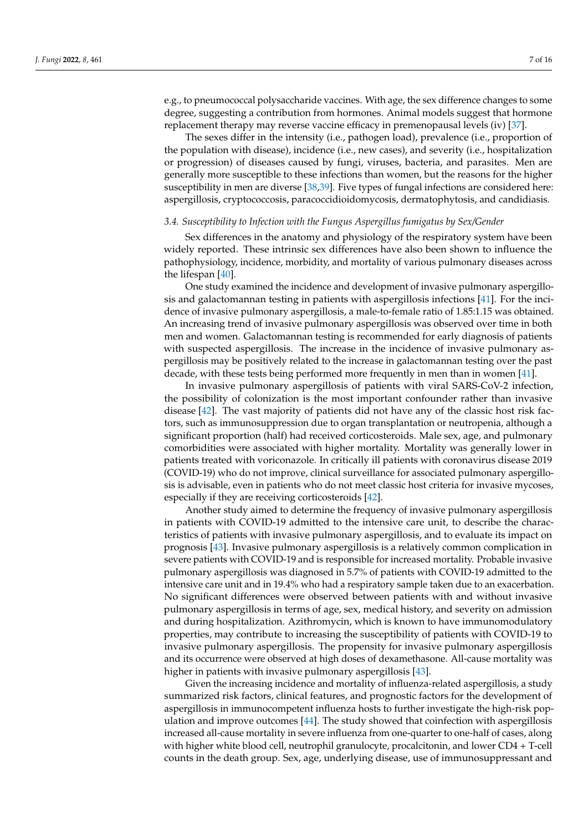e.g., to pneumococcal polysaccharide vaccines. With age, the sex difference changes to some degree, suggesting a contribution from hormones. Animal models suggest that hormone replacement therapy may reverse vaccine efficacy in premenopausal levels (iv) [\[37\]](#page-13-17).

The sexes differ in the intensity (i.e., pathogen load), prevalence (i.e., proportion of the population with disease), incidence (i.e., new cases), and severity (i.e., hospitalization or progression) of diseases caused by fungi, viruses, bacteria, and parasites. Men are generally more susceptible to these infections than women, but the reasons for the higher susceptibility in men are diverse [\[38,](#page-13-18)[39\]](#page-13-19). Five types of fungal infections are considered here: aspergillosis, cryptococcosis, paracoccidioidomycosis, dermatophytosis, and candidiasis.

# *3.4. Susceptibility to Infection with the Fungus Aspergillus fumigatus by Sex/Gender*

Sex differences in the anatomy and physiology of the respiratory system have been widely reported. These intrinsic sex differences have also been shown to influence the pathophysiology, incidence, morbidity, and mortality of various pulmonary diseases across the lifespan [\[40\]](#page-13-20).

One study examined the incidence and development of invasive pulmonary aspergillosis and galactomannan testing in patients with aspergillosis infections [\[41\]](#page-13-21). For the incidence of invasive pulmonary aspergillosis, a male-to-female ratio of 1.85:1.15 was obtained. An increasing trend of invasive pulmonary aspergillosis was observed over time in both men and women. Galactomannan testing is recommended for early diagnosis of patients with suspected aspergillosis. The increase in the incidence of invasive pulmonary aspergillosis may be positively related to the increase in galactomannan testing over the past decade, with these tests being performed more frequently in men than in women [\[41\]](#page-13-21).

In invasive pulmonary aspergillosis of patients with viral SARS-CoV-2 infection, the possibility of colonization is the most important confounder rather than invasive disease [\[42\]](#page-13-22). The vast majority of patients did not have any of the classic host risk factors, such as immunosuppression due to organ transplantation or neutropenia, although a significant proportion (half) had received corticosteroids. Male sex, age, and pulmonary comorbidities were associated with higher mortality. Mortality was generally lower in patients treated with voriconazole. In critically ill patients with coronavirus disease 2019 (COVID-19) who do not improve, clinical surveillance for associated pulmonary aspergillosis is advisable, even in patients who do not meet classic host criteria for invasive mycoses, especially if they are receiving corticosteroids [\[42\]](#page-13-22).

Another study aimed to determine the frequency of invasive pulmonary aspergillosis in patients with COVID-19 admitted to the intensive care unit, to describe the characteristics of patients with invasive pulmonary aspergillosis, and to evaluate its impact on prognosis [\[43\]](#page-13-23). Invasive pulmonary aspergillosis is a relatively common complication in severe patients with COVID-19 and is responsible for increased mortality. Probable invasive pulmonary aspergillosis was diagnosed in 5.7% of patients with COVID-19 admitted to the intensive care unit and in 19.4% who had a respiratory sample taken due to an exacerbation. No significant differences were observed between patients with and without invasive pulmonary aspergillosis in terms of age, sex, medical history, and severity on admission and during hospitalization. Azithromycin, which is known to have immunomodulatory properties, may contribute to increasing the susceptibility of patients with COVID-19 to invasive pulmonary aspergillosis. The propensity for invasive pulmonary aspergillosis and its occurrence were observed at high doses of dexamethasone. All-cause mortality was higher in patients with invasive pulmonary aspergillosis [\[43\]](#page-13-23).

Given the increasing incidence and mortality of influenza-related aspergillosis, a study summarized risk factors, clinical features, and prognostic factors for the development of aspergillosis in immunocompetent influenza hosts to further investigate the high-risk population and improve outcomes [\[44\]](#page-13-24). The study showed that coinfection with aspergillosis increased all-cause mortality in severe influenza from one-quarter to one-half of cases, along with higher white blood cell, neutrophil granulocyte, procalcitonin, and lower CD4 + T-cell counts in the death group. Sex, age, underlying disease, use of immunosuppressant and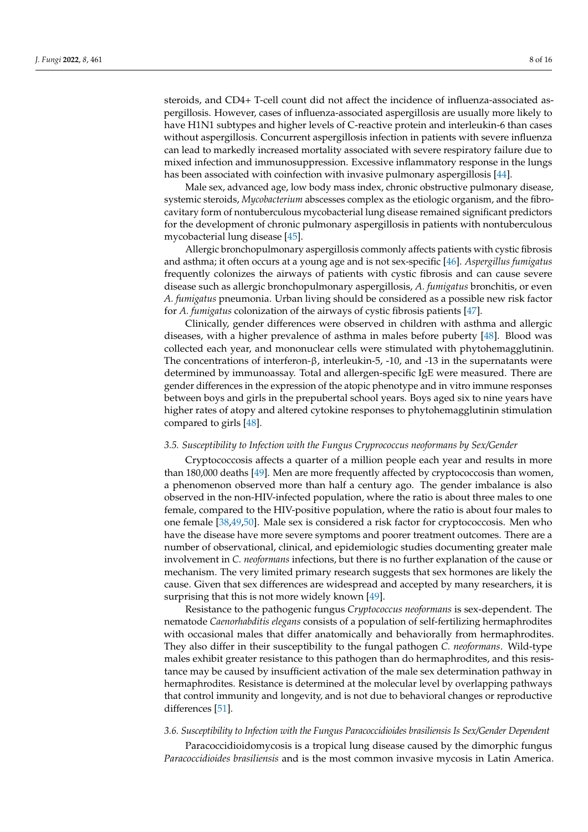steroids, and CD4+ T-cell count did not affect the incidence of influenza-associated aspergillosis. However, cases of influenza-associated aspergillosis are usually more likely to have H1N1 subtypes and higher levels of C-reactive protein and interleukin-6 than cases without aspergillosis. Concurrent aspergillosis infection in patients with severe influenza can lead to markedly increased mortality associated with severe respiratory failure due to mixed infection and immunosuppression. Excessive inflammatory response in the lungs has been associated with coinfection with invasive pulmonary aspergillosis [\[44\]](#page-13-24).

Male sex, advanced age, low body mass index, chronic obstructive pulmonary disease, systemic steroids, *Mycobacterium* abscesses complex as the etiologic organism, and the fibrocavitary form of nontuberculous mycobacterial lung disease remained significant predictors for the development of chronic pulmonary aspergillosis in patients with nontuberculous mycobacterial lung disease [\[45\]](#page-13-25).

Allergic bronchopulmonary aspergillosis commonly affects patients with cystic fibrosis and asthma; it often occurs at a young age and is not sex-specific [\[46\]](#page-13-26). *Aspergillus fumigatus* frequently colonizes the airways of patients with cystic fibrosis and can cause severe disease such as allergic bronchopulmonary aspergillosis, *A. fumigatus* bronchitis, or even *A. fumigatus* pneumonia. Urban living should be considered as a possible new risk factor for *A. fumigatus* colonization of the airways of cystic fibrosis patients [\[47\]](#page-14-0).

Clinically, gender differences were observed in children with asthma and allergic diseases, with a higher prevalence of asthma in males before puberty [\[48\]](#page-14-1). Blood was collected each year, and mononuclear cells were stimulated with phytohemagglutinin. The concentrations of interferon-β, interleukin-5, -10, and -13 in the supernatants were determined by immunoassay. Total and allergen-specific IgE were measured. There are gender differences in the expression of the atopic phenotype and in vitro immune responses between boys and girls in the prepubertal school years. Boys aged six to nine years have higher rates of atopy and altered cytokine responses to phytohemagglutinin stimulation compared to girls [\[48\]](#page-14-1).

#### *3.5. Susceptibility to Infection with the Fungus Cryprococcus neoformans by Sex/Gender*

Cryptococcosis affects a quarter of a million people each year and results in more than 180,000 deaths [\[49\]](#page-14-2). Men are more frequently affected by cryptococcosis than women, a phenomenon observed more than half a century ago. The gender imbalance is also observed in the non-HIV-infected population, where the ratio is about three males to one female, compared to the HIV-positive population, where the ratio is about four males to one female [\[38](#page-13-18)[,49](#page-14-2)[,50\]](#page-14-3). Male sex is considered a risk factor for cryptococcosis. Men who have the disease have more severe symptoms and poorer treatment outcomes. There are a number of observational, clinical, and epidemiologic studies documenting greater male involvement in *C. neoformans* infections, but there is no further explanation of the cause or mechanism. The very limited primary research suggests that sex hormones are likely the cause. Given that sex differences are widespread and accepted by many researchers, it is surprising that this is not more widely known [\[49\]](#page-14-2).

Resistance to the pathogenic fungus *Cryptococcus neoformans* is sex-dependent. The nematode *Caenorhabditis elegans* consists of a population of self-fertilizing hermaphrodites with occasional males that differ anatomically and behaviorally from hermaphrodites. They also differ in their susceptibility to the fungal pathogen *C. neoformans*. Wild-type males exhibit greater resistance to this pathogen than do hermaphrodites, and this resistance may be caused by insufficient activation of the male sex determination pathway in hermaphrodites. Resistance is determined at the molecular level by overlapping pathways that control immunity and longevity, and is not due to behavioral changes or reproductive differences [\[51\]](#page-14-4).

### *3.6. Susceptibility to Infection with the Fungus Paracoccidioides brasiliensis Is Sex/Gender Dependent*

Paracoccidioidomycosis is a tropical lung disease caused by the dimorphic fungus *Paracoccidioides brasiliensis* and is the most common invasive mycosis in Latin America.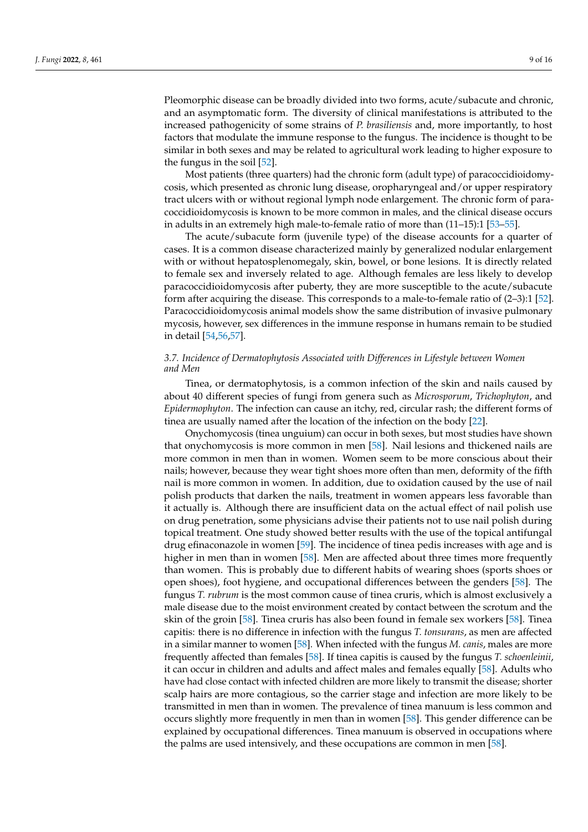Pleomorphic disease can be broadly divided into two forms, acute/subacute and chronic, and an asymptomatic form. The diversity of clinical manifestations is attributed to the increased pathogenicity of some strains of *P. brasiliensis* and, more importantly, to host factors that modulate the immune response to the fungus. The incidence is thought to be similar in both sexes and may be related to agricultural work leading to higher exposure to the fungus in the soil [\[52\]](#page-14-5).

Most patients (three quarters) had the chronic form (adult type) of paracoccidioidomycosis, which presented as chronic lung disease, oropharyngeal and/or upper respiratory tract ulcers with or without regional lymph node enlargement. The chronic form of paracoccidioidomycosis is known to be more common in males, and the clinical disease occurs in adults in an extremely high male-to-female ratio of more than (11–15):1 [\[53](#page-14-6)[–55\]](#page-14-7).

The acute/subacute form (juvenile type) of the disease accounts for a quarter of cases. It is a common disease characterized mainly by generalized nodular enlargement with or without hepatosplenomegaly, skin, bowel, or bone lesions. It is directly related to female sex and inversely related to age. Although females are less likely to develop paracoccidioidomycosis after puberty, they are more susceptible to the acute/subacute form after acquiring the disease. This corresponds to a male-to-female ratio of (2–3):1 [\[52\]](#page-14-5). Paracoccidioidomycosis animal models show the same distribution of invasive pulmonary mycosis, however, sex differences in the immune response in humans remain to be studied in detail [\[54,](#page-14-8)[56,](#page-14-9)[57\]](#page-14-10).

# *3.7. Incidence of Dermatophytosis Associated with Differences in Lifestyle between Women and Men*

Tinea, or dermatophytosis, is a common infection of the skin and nails caused by about 40 different species of fungi from genera such as *Microsporum*, *Trichophyton*, and *Epidermophyton*. The infection can cause an itchy, red, circular rash; the different forms of tinea are usually named after the location of the infection on the body [\[22\]](#page-13-2).

Onychomycosis (tinea unguium) can occur in both sexes, but most studies have shown that onychomycosis is more common in men [\[58\]](#page-14-11). Nail lesions and thickened nails are more common in men than in women. Women seem to be more conscious about their nails; however, because they wear tight shoes more often than men, deformity of the fifth nail is more common in women. In addition, due to oxidation caused by the use of nail polish products that darken the nails, treatment in women appears less favorable than it actually is. Although there are insufficient data on the actual effect of nail polish use on drug penetration, some physicians advise their patients not to use nail polish during topical treatment. One study showed better results with the use of the topical antifungal drug efinaconazole in women [\[59\]](#page-14-12). The incidence of tinea pedis increases with age and is higher in men than in women [\[58\]](#page-14-11). Men are affected about three times more frequently than women. This is probably due to different habits of wearing shoes (sports shoes or open shoes), foot hygiene, and occupational differences between the genders [\[58\]](#page-14-11). The fungus *T. rubrum* is the most common cause of tinea cruris, which is almost exclusively a male disease due to the moist environment created by contact between the scrotum and the skin of the groin [\[58\]](#page-14-11). Tinea cruris has also been found in female sex workers [\[58\]](#page-14-11). Tinea capitis: there is no difference in infection with the fungus *T. tonsurans*, as men are affected in a similar manner to women [\[58\]](#page-14-11). When infected with the fungus *M. canis*, males are more frequently affected than females [\[58\]](#page-14-11). If tinea capitis is caused by the fungus *T. schoenleinii*, it can occur in children and adults and affect males and females equally [\[58\]](#page-14-11). Adults who have had close contact with infected children are more likely to transmit the disease; shorter scalp hairs are more contagious, so the carrier stage and infection are more likely to be transmitted in men than in women. The prevalence of tinea manuum is less common and occurs slightly more frequently in men than in women [\[58\]](#page-14-11). This gender difference can be explained by occupational differences. Tinea manuum is observed in occupations where the palms are used intensively, and these occupations are common in men [\[58\]](#page-14-11).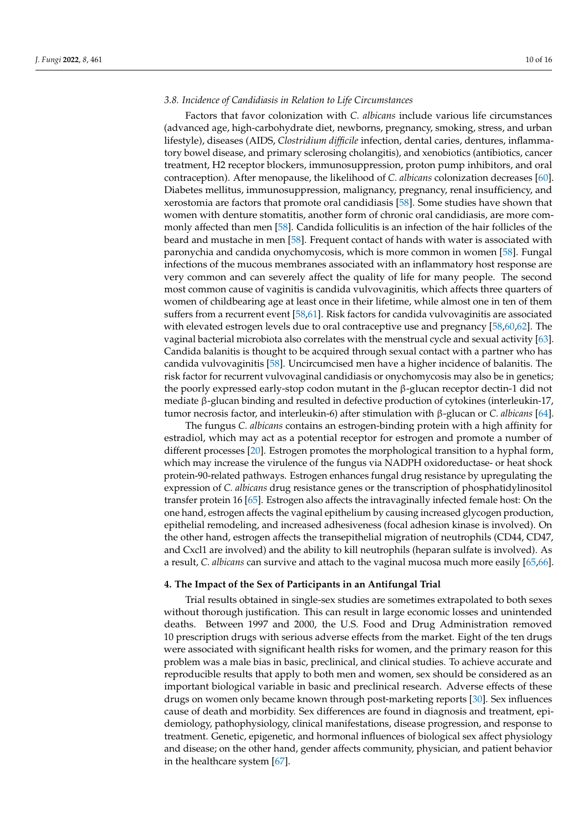#### *3.8. Incidence of Candidiasis in Relation to Life Circumstances*

Factors that favor colonization with *C. albicans* include various life circumstances (advanced age, high-carbohydrate diet, newborns, pregnancy, smoking, stress, and urban lifestyle), diseases (AIDS, *Clostridium difficile* infection, dental caries, dentures, inflammatory bowel disease, and primary sclerosing cholangitis), and xenobiotics (antibiotics, cancer treatment, H2 receptor blockers, immunosuppression, proton pump inhibitors, and oral contraception). After menopause, the likelihood of *C. albicans* colonization decreases [\[60\]](#page-14-13). Diabetes mellitus, immunosuppression, malignancy, pregnancy, renal insufficiency, and xerostomia are factors that promote oral candidiasis [\[58\]](#page-14-11). Some studies have shown that women with denture stomatitis, another form of chronic oral candidiasis, are more commonly affected than men [\[58\]](#page-14-11). Candida folliculitis is an infection of the hair follicles of the beard and mustache in men [\[58\]](#page-14-11). Frequent contact of hands with water is associated with paronychia and candida onychomycosis, which is more common in women [\[58\]](#page-14-11). Fungal infections of the mucous membranes associated with an inflammatory host response are very common and can severely affect the quality of life for many people. The second most common cause of vaginitis is candida vulvovaginitis, which affects three quarters of women of childbearing age at least once in their lifetime, while almost one in ten of them suffers from a recurrent event [\[58](#page-14-11)[,61\]](#page-14-14). Risk factors for candida vulvovaginitis are associated with elevated estrogen levels due to oral contraceptive use and pregnancy [\[58,](#page-14-11)[60,](#page-14-13)[62\]](#page-14-15). The vaginal bacterial microbiota also correlates with the menstrual cycle and sexual activity [\[63\]](#page-14-16). Candida balanitis is thought to be acquired through sexual contact with a partner who has candida vulvovaginitis [\[58\]](#page-14-11). Uncircumcised men have a higher incidence of balanitis. The risk factor for recurrent vulvovaginal candidiasis or onychomycosis may also be in genetics; the poorly expressed early-stop codon mutant in the β-glucan receptor dectin-1 did not mediate β-glucan binding and resulted in defective production of cytokines (interleukin-17, tumor necrosis factor, and interleukin-6) after stimulation with β-glucan or *C. albicans* [\[64\]](#page-14-17).

The fungus *C. albicans* contains an estrogen-binding protein with a high affinity for estradiol, which may act as a potential receptor for estrogen and promote a number of different processes [\[20\]](#page-13-0). Estrogen promotes the morphological transition to a hyphal form, which may increase the virulence of the fungus via NADPH oxidoreductase- or heat shock protein-90-related pathways. Estrogen enhances fungal drug resistance by upregulating the expression of *C. albicans* drug resistance genes or the transcription of phosphatidylinositol transfer protein 16 [\[65\]](#page-14-18). Estrogen also affects the intravaginally infected female host: On the one hand, estrogen affects the vaginal epithelium by causing increased glycogen production, epithelial remodeling, and increased adhesiveness (focal adhesion kinase is involved). On the other hand, estrogen affects the transepithelial migration of neutrophils (CD44, CD47, and Cxcl1 are involved) and the ability to kill neutrophils (heparan sulfate is involved). As a result, *C. albicans* can survive and attach to the vaginal mucosa much more easily [\[65,](#page-14-18)[66\]](#page-14-19).

#### **4. The Impact of the Sex of Participants in an Antifungal Trial**

Trial results obtained in single-sex studies are sometimes extrapolated to both sexes without thorough justification. This can result in large economic losses and unintended deaths. Between 1997 and 2000, the U.S. Food and Drug Administration removed 10 prescription drugs with serious adverse effects from the market. Eight of the ten drugs were associated with significant health risks for women, and the primary reason for this problem was a male bias in basic, preclinical, and clinical studies. To achieve accurate and reproducible results that apply to both men and women, sex should be considered as an important biological variable in basic and preclinical research. Adverse effects of these drugs on women only became known through post-marketing reports [\[30\]](#page-13-10). Sex influences cause of death and morbidity. Sex differences are found in diagnosis and treatment, epidemiology, pathophysiology, clinical manifestations, disease progression, and response to treatment. Genetic, epigenetic, and hormonal influences of biological sex affect physiology and disease; on the other hand, gender affects community, physician, and patient behavior in the healthcare system [\[67\]](#page-14-20).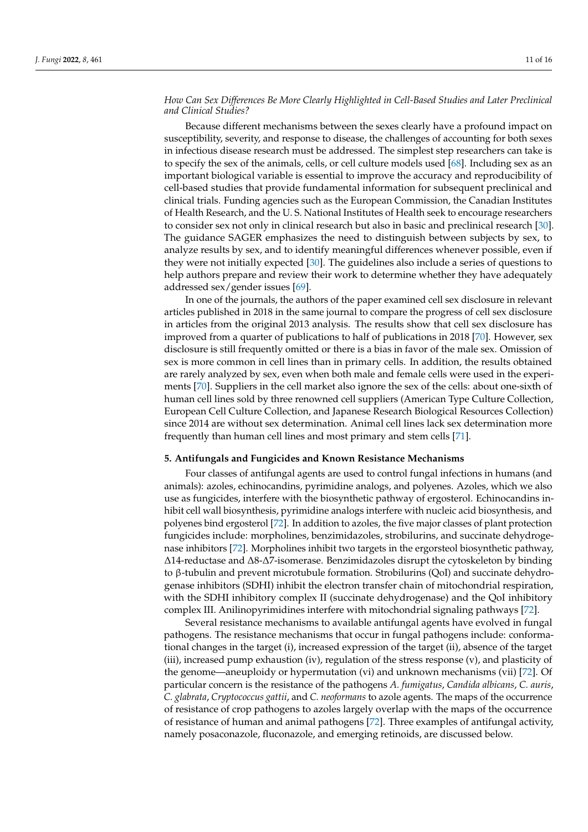# *How Can Sex Differences Be More Clearly Highlighted in Cell-Based Studies and Later Preclinical and Clinical Studies?*

Because different mechanisms between the sexes clearly have a profound impact on susceptibility, severity, and response to disease, the challenges of accounting for both sexes in infectious disease research must be addressed. The simplest step researchers can take is to specify the sex of the animals, cells, or cell culture models used [\[68\]](#page-14-21). Including sex as an important biological variable is essential to improve the accuracy and reproducibility of cell-based studies that provide fundamental information for subsequent preclinical and clinical trials. Funding agencies such as the European Commission, the Canadian Institutes of Health Research, and the U. S. National Institutes of Health seek to encourage researchers to consider sex not only in clinical research but also in basic and preclinical research [\[30\]](#page-13-10). The guidance SAGER emphasizes the need to distinguish between subjects by sex, to analyze results by sex, and to identify meaningful differences whenever possible, even if they were not initially expected [\[30\]](#page-13-10). The guidelines also include a series of questions to help authors prepare and review their work to determine whether they have adequately addressed sex/gender issues [\[69\]](#page-14-22).

In one of the journals, the authors of the paper examined cell sex disclosure in relevant articles published in 2018 in the same journal to compare the progress of cell sex disclosure in articles from the original 2013 analysis. The results show that cell sex disclosure has improved from a quarter of publications to half of publications in 2018 [\[70\]](#page-14-23). However, sex disclosure is still frequently omitted or there is a bias in favor of the male sex. Omission of sex is more common in cell lines than in primary cells. In addition, the results obtained are rarely analyzed by sex, even when both male and female cells were used in the experiments [\[70\]](#page-14-23). Suppliers in the cell market also ignore the sex of the cells: about one-sixth of human cell lines sold by three renowned cell suppliers (American Type Culture Collection, European Cell Culture Collection, and Japanese Research Biological Resources Collection) since 2014 are without sex determination. Animal cell lines lack sex determination more frequently than human cell lines and most primary and stem cells [\[71\]](#page-14-24).

#### **5. Antifungals and Fungicides and Known Resistance Mechanisms**

Four classes of antifungal agents are used to control fungal infections in humans (and animals): azoles, echinocandins, pyrimidine analogs, and polyenes. Azoles, which we also use as fungicides, interfere with the biosynthetic pathway of ergosterol. Echinocandins inhibit cell wall biosynthesis, pyrimidine analogs interfere with nucleic acid biosynthesis, and polyenes bind ergosterol [\[72\]](#page-14-25). In addition to azoles, the five major classes of plant protection fungicides include: morpholines, benzimidazoles, strobilurins, and succinate dehydrogenase inhibitors [\[72\]](#page-14-25). Morpholines inhibit two targets in the ergorsteol biosynthetic pathway, ∆14-reductase and ∆8-∆7-isomerase. Benzimidazoles disrupt the cytoskeleton by binding to β-tubulin and prevent microtubule formation. Strobilurins (QoI) and succinate dehydrogenase inhibitors (SDHI) inhibit the electron transfer chain of mitochondrial respiration, with the SDHI inhibitory complex II (succinate dehydrogenase) and the QoI inhibitory complex III. Anilinopyrimidines interfere with mitochondrial signaling pathways [\[72\]](#page-14-25).

Several resistance mechanisms to available antifungal agents have evolved in fungal pathogens. The resistance mechanisms that occur in fungal pathogens include: conformational changes in the target (i), increased expression of the target (ii), absence of the target (iii), increased pump exhaustion (iv), regulation of the stress response (v), and plasticity of the genome—aneuploidy or hypermutation (vi) and unknown mechanisms (vii) [\[72\]](#page-14-25). Of particular concern is the resistance of the pathogens *A. fumigatus*, *Candida albicans*, *C. auris*, *C. glabrata*, *Cryptococcus gattii*, and *C. neoformans* to azole agents. The maps of the occurrence of resistance of crop pathogens to azoles largely overlap with the maps of the occurrence of resistance of human and animal pathogens [\[72\]](#page-14-25). Three examples of antifungal activity, namely posaconazole, fluconazole, and emerging retinoids, are discussed below.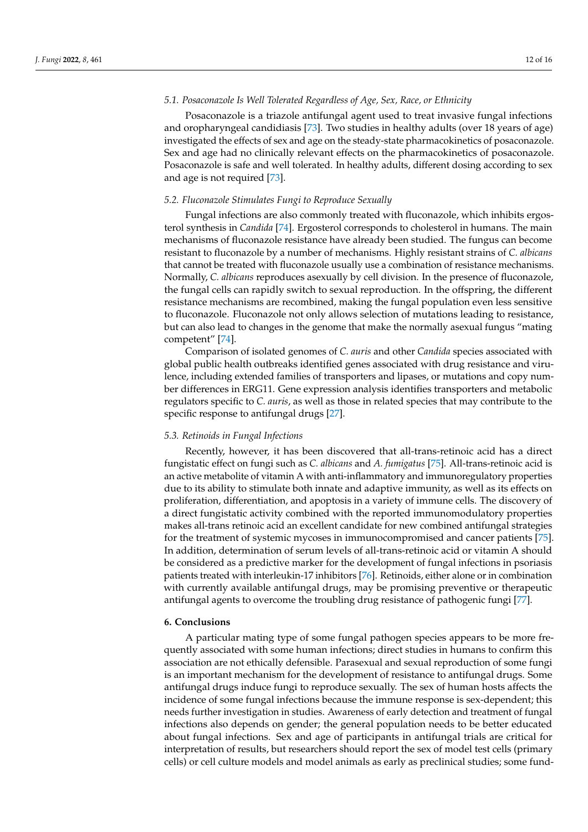### *5.1. Posaconazole Is Well Tolerated Regardless of Age, Sex, Race, or Ethnicity*

Posaconazole is a triazole antifungal agent used to treat invasive fungal infections and oropharyngeal candidiasis [\[73\]](#page-14-26). Two studies in healthy adults (over 18 years of age) investigated the effects of sex and age on the steady-state pharmacokinetics of posaconazole. Sex and age had no clinically relevant effects on the pharmacokinetics of posaconazole. Posaconazole is safe and well tolerated. In healthy adults, different dosing according to sex and age is not required [\[73\]](#page-14-26).

# *5.2. Fluconazole Stimulates Fungi to Reproduce Sexually*

Fungal infections are also commonly treated with fluconazole, which inhibits ergosterol synthesis in *Candida* [\[74\]](#page-14-27). Ergosterol corresponds to cholesterol in humans. The main mechanisms of fluconazole resistance have already been studied. The fungus can become resistant to fluconazole by a number of mechanisms. Highly resistant strains of *C. albicans* that cannot be treated with fluconazole usually use a combination of resistance mechanisms. Normally, *C. albicans* reproduces asexually by cell division. In the presence of fluconazole, the fungal cells can rapidly switch to sexual reproduction. In the offspring, the different resistance mechanisms are recombined, making the fungal population even less sensitive to fluconazole. Fluconazole not only allows selection of mutations leading to resistance, but can also lead to changes in the genome that make the normally asexual fungus "mating competent" [\[74\]](#page-14-27).

Comparison of isolated genomes of *C. auris* and other *Candida* species associated with global public health outbreaks identified genes associated with drug resistance and virulence, including extended families of transporters and lipases, or mutations and copy number differences in ERG11. Gene expression analysis identifies transporters and metabolic regulators specific to *C. auris*, as well as those in related species that may contribute to the specific response to antifungal drugs [\[27\]](#page-13-7).

#### *5.3. Retinoids in Fungal Infections*

Recently, however, it has been discovered that all-trans-retinoic acid has a direct fungistatic effect on fungi such as *C. albicans* and *A. fumigatus* [\[75\]](#page-14-28). All-trans-retinoic acid is an active metabolite of vitamin A with anti-inflammatory and immunoregulatory properties due to its ability to stimulate both innate and adaptive immunity, as well as its effects on proliferation, differentiation, and apoptosis in a variety of immune cells. The discovery of a direct fungistatic activity combined with the reported immunomodulatory properties makes all-trans retinoic acid an excellent candidate for new combined antifungal strategies for the treatment of systemic mycoses in immunocompromised and cancer patients [\[75\]](#page-14-28). In addition, determination of serum levels of all-trans-retinoic acid or vitamin A should be considered as a predictive marker for the development of fungal infections in psoriasis patients treated with interleukin-17 inhibitors [\[76\]](#page-15-0). Retinoids, either alone or in combination with currently available antifungal drugs, may be promising preventive or therapeutic antifungal agents to overcome the troubling drug resistance of pathogenic fungi [\[77\]](#page-15-1).

#### **6. Conclusions**

A particular mating type of some fungal pathogen species appears to be more frequently associated with some human infections; direct studies in humans to confirm this association are not ethically defensible. Parasexual and sexual reproduction of some fungi is an important mechanism for the development of resistance to antifungal drugs. Some antifungal drugs induce fungi to reproduce sexually. The sex of human hosts affects the incidence of some fungal infections because the immune response is sex-dependent; this needs further investigation in studies. Awareness of early detection and treatment of fungal infections also depends on gender; the general population needs to be better educated about fungal infections. Sex and age of participants in antifungal trials are critical for interpretation of results, but researchers should report the sex of model test cells (primary cells) or cell culture models and model animals as early as preclinical studies; some fund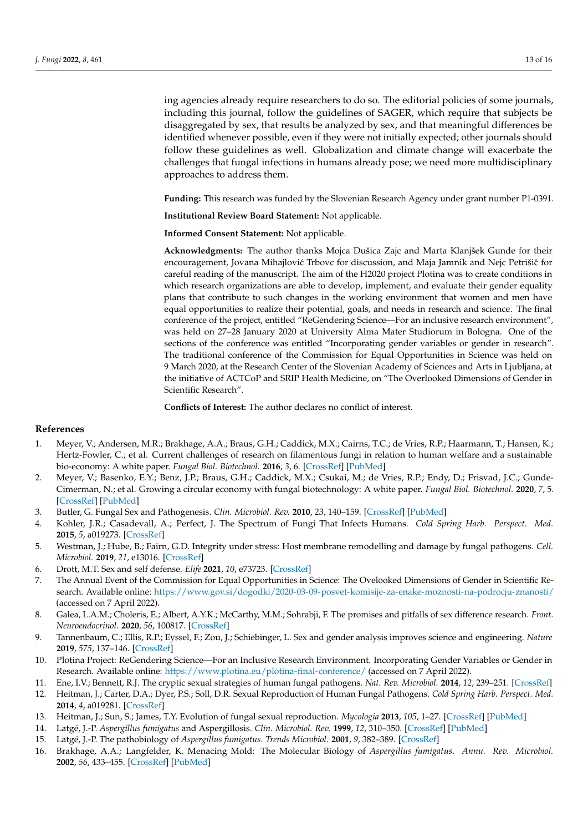ing agencies already require researchers to do so. The editorial policies of some journals, including this journal, follow the guidelines of SAGER, which require that subjects be disaggregated by sex, that results be analyzed by sex, and that meaningful differences be identified whenever possible, even if they were not initially expected; other journals should follow these guidelines as well. Globalization and climate change will exacerbate the challenges that fungal infections in humans already pose; we need more multidisciplinary approaches to address them.

**Funding:** This research was funded by the Slovenian Research Agency under grant number P1-0391.

**Institutional Review Board Statement:** Not applicable.

**Informed Consent Statement:** Not applicable.

**Acknowledgments:** The author thanks Mojca Dušica Zajc and Marta Klanjšek Gunde for their encouragement, Jovana Mihajlović Trbovc for discussion, and Maja Jamnik and Nejc Petrišič for careful reading of the manuscript. The aim of the H2020 project Plotina was to create conditions in which research organizations are able to develop, implement, and evaluate their gender equality plans that contribute to such changes in the working environment that women and men have equal opportunities to realize their potential, goals, and needs in research and science. The final conference of the project, entitled "ReGendering Science—For an inclusive research environment", was held on 27–28 January 2020 at University Alma Mater Studiorum in Bologna. One of the sections of the conference was entitled "Incorporating gender variables or gender in research". The traditional conference of the Commission for Equal Opportunities in Science was held on 9 March 2020, at the Research Center of the Slovenian Academy of Sciences and Arts in Ljubljana, at the initiative of ACTCoP and SRIP Health Medicine, on "The Overlooked Dimensions of Gender in Scientific Research".

**Conflicts of Interest:** The author declares no conflict of interest.

# **References**

- <span id="page-12-0"></span>1. Meyer, V.; Andersen, M.R.; Brakhage, A.A.; Braus, G.H.; Caddick, M.X.; Cairns, T.C.; de Vries, R.P.; Haarmann, T.; Hansen, K.; Hertz-Fowler, C.; et al. Current challenges of research on filamentous fungi in relation to human welfare and a sustainable bio-economy: A white paper. *Fungal Biol. Biotechnol.* **2016**, *3*, 6. [\[CrossRef\]](http://doi.org/10.1186/s40694-016-0024-8) [\[PubMed\]](http://www.ncbi.nlm.nih.gov/pubmed/28955465)
- <span id="page-12-1"></span>2. Meyer, V.; Basenko, E.Y.; Benz, J.P.; Braus, G.H.; Caddick, M.X.; Csukai, M.; de Vries, R.P.; Endy, D.; Frisvad, J.C.; Gunde-Cimerman, N.; et al. Growing a circular economy with fungal biotechnology: A white paper. *Fungal Biol. Biotechnol.* **2020**, *7*, 5. [\[CrossRef\]](http://doi.org/10.1186/s40694-020-00095-z) [\[PubMed\]](http://www.ncbi.nlm.nih.gov/pubmed/32280481)
- <span id="page-12-2"></span>3. Butler, G. Fungal Sex and Pathogenesis. *Clin. Microbiol. Rev.* **2010**, *23*, 140–159. [\[CrossRef\]](http://doi.org/10.1128/CMR.00053-09) [\[PubMed\]](http://www.ncbi.nlm.nih.gov/pubmed/20065328)
- <span id="page-12-3"></span>4. Kohler, J.R.; Casadevall, A.; Perfect, J. The Spectrum of Fungi That Infects Humans. *Cold Spring Harb. Perspect. Med.* **2015**, *5*, a019273. [\[CrossRef\]](http://doi.org/10.1101/cshperspect.a019273)
- <span id="page-12-4"></span>5. Westman, J.; Hube, B.; Fairn, G.D. Integrity under stress: Host membrane remodelling and damage by fungal pathogens. *Cell. Microbiol.* **2019**, *21*, e13016. [\[CrossRef\]](http://doi.org/10.1111/cmi.13016)
- <span id="page-12-5"></span>6. Drott, M.T. Sex and self defense. *Elife* **2021**, *10*, e73723. [\[CrossRef\]](http://doi.org/10.7554/eLife.73723)
- <span id="page-12-6"></span>7. The Annual Event of the Commission for Equal Opportunities in Science: The Ovelooked Dimensions of Gender in Scientific Research. Available online: <https://www.gov.si/dogodki/2020-03-09-posvet-komisije-za-enake-moznosti-na-podrocju-znanosti/> (accessed on 7 April 2022).
- <span id="page-12-7"></span>8. Galea, L.A.M.; Choleris, E.; Albert, A.Y.K.; McCarthy, M.M.; Sohrabji, F. The promises and pitfalls of sex difference research. *Front. Neuroendocrinol.* **2020**, *56*, 100817. [\[CrossRef\]](http://doi.org/10.1016/j.yfrne.2019.100817)
- <span id="page-12-8"></span>9. Tannenbaum, C.; Ellis, R.P.; Eyssel, F.; Zou, J.; Schiebinger, L. Sex and gender analysis improves science and engineering. *Nature* **2019**, *575*, 137–146. [\[CrossRef\]](http://doi.org/10.1038/s41586-019-1657-6)
- <span id="page-12-9"></span>10. Plotina Project: ReGendering Science—For an Inclusive Research Environment. Incorporating Gender Variables or Gender in Research. Available online: <https://www.plotina.eu/plotina-final-conference/> (accessed on 7 April 2022).
- <span id="page-12-10"></span>11. Ene, I.V.; Bennett, R.J. The cryptic sexual strategies of human fungal pathogens. *Nat. Rev. Microbiol.* **2014**, *12*, 239–251. [\[CrossRef\]](http://doi.org/10.1038/nrmicro3236)
- <span id="page-12-12"></span>12. Heitman, J.; Carter, D.A.; Dyer, P.S.; Soll, D.R. Sexual Reproduction of Human Fungal Pathogens. *Cold Spring Harb. Perspect. Med.* **2014**, *4*, a019281. [\[CrossRef\]](http://doi.org/10.1101/cshperspect.a019281)
- <span id="page-12-11"></span>13. Heitman, J.; Sun, S.; James, T.Y. Evolution of fungal sexual reproduction. *Mycologia* **2013**, *105*, 1–27. [\[CrossRef\]](http://doi.org/10.3852/12-253) [\[PubMed\]](http://www.ncbi.nlm.nih.gov/pubmed/23099518)
- <span id="page-12-13"></span>14. Latgé, J.-P. *Aspergillus fumigatus* and Aspergillosis. *Clin. Microbiol. Rev.* **1999**, *12*, 310–350. [\[CrossRef\]](http://doi.org/10.1128/CMR.12.2.310) [\[PubMed\]](http://www.ncbi.nlm.nih.gov/pubmed/10194462)
- 15. Latgé, J.-P. The pathobiology of *Aspergillus fumigatus*. *Trends Microbiol.* **2001**, *9*, 382–389. [\[CrossRef\]](http://doi.org/10.1016/S0966-842X(01)02104-7)
- 16. Brakhage, A.A.; Langfelder, K. Menacing Mold: The Molecular Biology of *Aspergillus fumigatus*. *Annu. Rev. Microbiol.* **2002**, *56*, 433–455. [\[CrossRef\]](http://doi.org/10.1146/annurev.micro.56.012302.160625) [\[PubMed\]](http://www.ncbi.nlm.nih.gov/pubmed/12142473)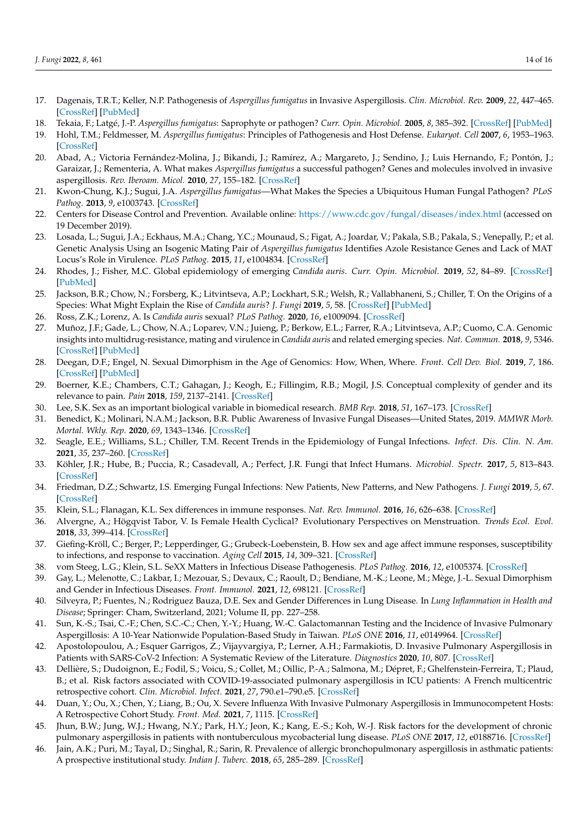- 17. Dagenais, T.R.T.; Keller, N.P. Pathogenesis of *Aspergillus fumigatus* in Invasive Aspergillosis. *Clin. Microbiol. Rev.* **2009**, *22*, 447–465. [\[CrossRef\]](http://doi.org/10.1128/CMR.00055-08) [\[PubMed\]](http://www.ncbi.nlm.nih.gov/pubmed/19597008)
- 18. Tekaia, F.; Latgé, J.-P. *Aspergillus fumigatus*: Saprophyte or pathogen? *Curr. Opin. Microbiol.* **2005**, *8*, 385–392. [\[CrossRef\]](http://doi.org/10.1016/j.mib.2005.06.017) [\[PubMed\]](http://www.ncbi.nlm.nih.gov/pubmed/16019255)
- 19. Hohl, T.M.; Feldmesser, M. *Aspergillus fumigatus*: Principles of Pathogenesis and Host Defense. *Eukaryot. Cell* **2007**, *6*, 1953–1963. [\[CrossRef\]](http://doi.org/10.1128/EC.00274-07)
- <span id="page-13-0"></span>20. Abad, A.; Victoria Fernández-Molina, J.; Bikandi, J.; Ramírez, A.; Margareto, J.; Sendino, J.; Luis Hernando, F.; Pontón, J.; Garaizar, J.; Rementeria, A. What makes *Aspergillus fumigatus* a successful pathogen? Genes and molecules involved in invasive aspergillosis. *Rev. Iberoam. Micol.* **2010**, *27*, 155–182. [\[CrossRef\]](http://doi.org/10.1016/j.riam.2010.10.003)
- <span id="page-13-1"></span>21. Kwon-Chung, K.J.; Sugui, J.A. *Aspergillus fumigatus*—What Makes the Species a Ubiquitous Human Fungal Pathogen? *PLoS Pathog.* **2013**, *9*, e1003743. [\[CrossRef\]](http://doi.org/10.1371/journal.ppat.1003743)
- <span id="page-13-2"></span>22. Centers for Disease Control and Prevention. Available online: <https://www.cdc.gov/fungal/diseases/index.html> (accessed on 19 December 2019).
- <span id="page-13-3"></span>23. Losada, L.; Sugui, J.A.; Eckhaus, M.A.; Chang, Y.C.; Mounaud, S.; Figat, A.; Joardar, V.; Pakala, S.B.; Pakala, S.; Venepally, P.; et al. Genetic Analysis Using an Isogenic Mating Pair of *Aspergillus fumigatus* Identifies Azole Resistance Genes and Lack of MAT Locus's Role in Virulence. *PLoS Pathog.* **2015**, *11*, e1004834. [\[CrossRef\]](http://doi.org/10.1371/journal.ppat.1004834)
- <span id="page-13-4"></span>24. Rhodes, J.; Fisher, M.C. Global epidemiology of emerging *Candida auris*. *Curr. Opin. Microbiol.* **2019**, *52*, 84–89. [\[CrossRef\]](http://doi.org/10.1016/j.mib.2019.05.008) [\[PubMed\]](http://www.ncbi.nlm.nih.gov/pubmed/31279224)
- <span id="page-13-5"></span>25. Jackson, B.R.; Chow, N.; Forsberg, K.; Litvintseva, A.P.; Lockhart, S.R.; Welsh, R.; Vallabhaneni, S.; Chiller, T. On the Origins of a Species: What Might Explain the Rise of *Candida auris*? *J. Fungi* **2019**, *5*, 58. [\[CrossRef\]](http://doi.org/10.3390/jof5030058) [\[PubMed\]](http://www.ncbi.nlm.nih.gov/pubmed/31284576)
- <span id="page-13-6"></span>26. Ross, Z.K.; Lorenz, A. Is *Candida auris* sexual? *PLoS Pathog.* **2020**, *16*, e1009094. [\[CrossRef\]](http://doi.org/10.1371/journal.ppat.1009094)
- <span id="page-13-7"></span>27. Muñoz, J.F.; Gade, L.; Chow, N.A.; Loparev, V.N.; Juieng, P.; Berkow, E.L.; Farrer, R.A.; Litvintseva, A.P.; Cuomo, C.A. Genomic insights into multidrug-resistance, mating and virulence in *Candida auris* and related emerging species. *Nat. Commun.* **2018**, *9*, 5346. [\[CrossRef\]](http://doi.org/10.1038/s41467-018-07779-6) [\[PubMed\]](http://www.ncbi.nlm.nih.gov/pubmed/30559369)
- <span id="page-13-8"></span>28. Deegan, D.F.; Engel, N. Sexual Dimorphism in the Age of Genomics: How, When, Where. *Front. Cell Dev. Biol.* **2019**, *7*, 186. [\[CrossRef\]](http://doi.org/10.3389/fcell.2019.00186) [\[PubMed\]](http://www.ncbi.nlm.nih.gov/pubmed/31552249)
- <span id="page-13-9"></span>29. Boerner, K.E.; Chambers, C.T.; Gahagan, J.; Keogh, E.; Fillingim, R.B.; Mogil, J.S. Conceptual complexity of gender and its relevance to pain. *Pain* **2018**, *159*, 2137–2141. [\[CrossRef\]](http://doi.org/10.1097/j.pain.0000000000001275)
- <span id="page-13-10"></span>30. Lee, S.K. Sex as an important biological variable in biomedical research. *BMB Rep.* **2018**, *51*, 167–173. [\[CrossRef\]](http://doi.org/10.5483/BMBRep.2018.51.4.034)
- <span id="page-13-11"></span>31. Benedict, K.; Molinari, N.A.M.; Jackson, B.R. Public Awareness of Invasive Fungal Diseases—United States, 2019. *MMWR Morb. Mortal. Wkly. Rep.* **2020**, *69*, 1343–1346. [\[CrossRef\]](http://doi.org/10.15585/mmwr.mm6938a2)
- <span id="page-13-12"></span>32. Seagle, E.E.; Williams, S.L.; Chiller, T.M. Recent Trends in the Epidemiology of Fungal Infections. *Infect. Dis. Clin. N. Am.* **2021**, *35*, 237–260. [\[CrossRef\]](http://doi.org/10.1016/j.idc.2021.03.001)
- <span id="page-13-13"></span>33. Köhler, J.R.; Hube, B.; Puccia, R.; Casadevall, A.; Perfect, J.R. Fungi that Infect Humans. *Microbiol. Spectr.* **2017**, *5*, 813–843. [\[CrossRef\]](http://doi.org/10.1128/microbiolspec.FUNK-0014-2016)
- <span id="page-13-14"></span>34. Friedman, D.Z.; Schwartz, I.S. Emerging Fungal Infections: New Patients, New Patterns, and New Pathogens. *J. Fungi* **2019**, *5*, 67. [\[CrossRef\]](http://doi.org/10.3390/jof5030067)
- <span id="page-13-15"></span>35. Klein, S.L.; Flanagan, K.L. Sex differences in immune responses. *Nat. Rev. Immunol.* **2016**, *16*, 626–638. [\[CrossRef\]](http://doi.org/10.1038/nri.2016.90)
- <span id="page-13-16"></span>36. Alvergne, A.; Högqvist Tabor, V. Is Female Health Cyclical? Evolutionary Perspectives on Menstruation. *Trends Ecol. Evol.* **2018**, *33*, 399–414. [\[CrossRef\]](http://doi.org/10.1016/j.tree.2018.03.006)
- <span id="page-13-17"></span>37. Giefing-Kröll, C.; Berger, P.; Lepperdinger, G.; Grubeck-Loebenstein, B. How sex and age affect immune responses, susceptibility to infections, and response to vaccination. *Aging Cell* **2015**, *14*, 309–321. [\[CrossRef\]](http://doi.org/10.1111/acel.12326)
- <span id="page-13-18"></span>38. vom Steeg, L.G.; Klein, S.L. SeXX Matters in Infectious Disease Pathogenesis. *PLoS Pathog.* **2016**, *12*, e1005374. [\[CrossRef\]](http://doi.org/10.1371/journal.ppat.1005374)
- <span id="page-13-19"></span>39. Gay, L.; Melenotte, C.; Lakbar, I.; Mezouar, S.; Devaux, C.; Raoult, D.; Bendiane, M.-K.; Leone, M.; Mège, J.-L. Sexual Dimorphism and Gender in Infectious Diseases. *Front. Immunol.* **2021**, *12*, 698121. [\[CrossRef\]](http://doi.org/10.3389/fimmu.2021.698121)
- <span id="page-13-20"></span>40. Silveyra, P.; Fuentes, N.; Rodriguez Bauza, D.E. Sex and Gender Differences in Lung Disease. In *Lung Inflammation in Health and Disease*; Springer: Cham, Switzerland, 2021; Volume II, pp. 227–258.
- <span id="page-13-21"></span>41. Sun, K.-S.; Tsai, C.-F.; Chen, S.C.-C.; Chen, Y.-Y.; Huang, W.-C. Galactomannan Testing and the Incidence of Invasive Pulmonary Aspergillosis: A 10-Year Nationwide Population-Based Study in Taiwan. *PLoS ONE* **2016**, *11*, e0149964. [\[CrossRef\]](http://doi.org/10.1371/journal.pone.0149964)
- <span id="page-13-22"></span>42. Apostolopoulou, A.; Esquer Garrigos, Z.; Vijayvargiya, P.; Lerner, A.H.; Farmakiotis, D. Invasive Pulmonary Aspergillosis in Patients with SARS-CoV-2 Infection: A Systematic Review of the Literature. *Diagnostics* **2020**, *10*, 807. [\[CrossRef\]](http://doi.org/10.3390/diagnostics10100807)
- <span id="page-13-23"></span>43. Dellière, S.; Dudoignon, E.; Fodil, S.; Voicu, S.; Collet, M.; Oillic, P.-A.; Salmona, M.; Dépret, F.; Ghelfenstein-Ferreira, T.; Plaud, B.; et al. Risk factors associated with COVID-19-associated pulmonary aspergillosis in ICU patients: A French multicentric retrospective cohort. *Clin. Microbiol. Infect.* **2021**, *27*, 790.e1–790.e5. [\[CrossRef\]](http://doi.org/10.1016/j.cmi.2020.12.005)
- <span id="page-13-24"></span>44. Duan, Y.; Ou, X.; Chen, Y.; Liang, B.; Ou, X. Severe Influenza With Invasive Pulmonary Aspergillosis in Immunocompetent Hosts: A Retrospective Cohort Study. *Front. Med.* **2021**, *7*, 1115. [\[CrossRef\]](http://doi.org/10.3389/fmed.2020.602732)
- <span id="page-13-25"></span>45. Jhun, B.W.; Jung, W.J.; Hwang, N.Y.; Park, H.Y.; Jeon, K.; Kang, E.-S.; Koh, W.-J. Risk factors for the development of chronic pulmonary aspergillosis in patients with nontuberculous mycobacterial lung disease. *PLoS ONE* **2017**, *12*, e0188716. [\[CrossRef\]](http://doi.org/10.1371/journal.pone.0188716)
- <span id="page-13-26"></span>46. Jain, A.K.; Puri, M.; Tayal, D.; Singhal, R.; Sarin, R. Prevalence of allergic bronchopulmonary aspergillosis in asthmatic patients: A prospective institutional study. *Indian J. Tuberc.* **2018**, *65*, 285–289. [\[CrossRef\]](http://doi.org/10.1016/j.ijtb.2018.04.007)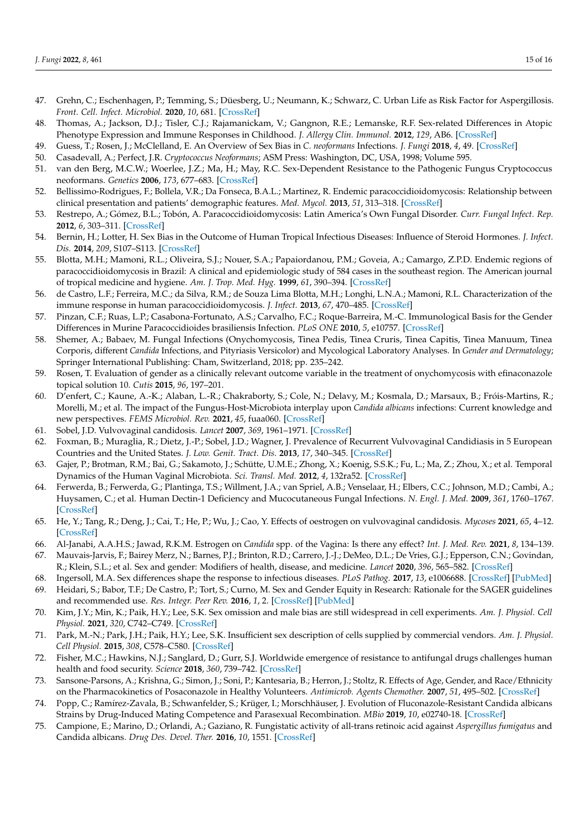- <span id="page-14-0"></span>47. Grehn, C.; Eschenhagen, P.; Temming, S.; Düesberg, U.; Neumann, K.; Schwarz, C. Urban Life as Risk Factor for Aspergillosis. *Front. Cell. Infect. Microbiol.* **2020**, *10*, 681. [\[CrossRef\]](http://doi.org/10.3389/fcimb.2020.601834)
- <span id="page-14-1"></span>48. Thomas, A.; Jackson, D.J.; Tisler, C.J.; Rajamanickam, V.; Gangnon, R.E.; Lemanske, R.F. Sex-related Differences in Atopic Phenotype Expression and Immune Responses in Childhood. *J. Allergy Clin. Immunol.* **2012**, *129*, AB6. [\[CrossRef\]](http://doi.org/10.1016/j.jaci.2011.12.884)
- <span id="page-14-2"></span>49. Guess, T.; Rosen, J.; McClelland, E. An Overview of Sex Bias in *C. neoformans* Infections. *J. Fungi* **2018**, *4*, 49. [\[CrossRef\]](http://doi.org/10.3390/jof4020049)
- <span id="page-14-3"></span>50. Casadevall, A.; Perfect, J.R. *Cryptococcus Neoformans*; ASM Press: Washington, DC, USA, 1998; Volume 595.
- <span id="page-14-4"></span>51. van den Berg, M.C.W.; Woerlee, J.Z.; Ma, H.; May, R.C. Sex-Dependent Resistance to the Pathogenic Fungus Cryptococcus neoformans. *Genetics* **2006**, *173*, 677–683. [\[CrossRef\]](http://doi.org/10.1534/genetics.106.056093)
- <span id="page-14-5"></span>52. Bellissimo-Rodrigues, F.; Bollela, V.R.; Da Fonseca, B.A.L.; Martinez, R. Endemic paracoccidioidomycosis: Relationship between clinical presentation and patients' demographic features. *Med. Mycol.* **2013**, *51*, 313–318. [\[CrossRef\]](http://doi.org/10.3109/13693786.2012.714529)
- <span id="page-14-6"></span>53. Restrepo, A.; Gómez, B.L.; Tobón, A. Paracoccidioidomycosis: Latin America's Own Fungal Disorder. *Curr. Fungal Infect. Rep.* **2012**, *6*, 303–311. [\[CrossRef\]](http://doi.org/10.1007/s12281-012-0114-x)
- <span id="page-14-8"></span>54. Bernin, H.; Lotter, H. Sex Bias in the Outcome of Human Tropical Infectious Diseases: Influence of Steroid Hormones. *J. Infect. Dis.* **2014**, *209*, S107–S113. [\[CrossRef\]](http://doi.org/10.1093/infdis/jit610)
- <span id="page-14-7"></span>55. Blotta, M.H.; Mamoni, R.L.; Oliveira, S.J.; Nouer, S.A.; Papaiordanou, P.M.; Goveia, A.; Camargo, Z.P.D. Endemic regions of paracoccidioidomycosis in Brazil: A clinical and epidemiologic study of 584 cases in the southeast region. The American journal of tropical medicine and hygiene. *Am. J. Trop. Med. Hyg.* **1999**, *61*, 390–394. [\[CrossRef\]](http://doi.org/10.4269/ajtmh.1999.61.390)
- <span id="page-14-9"></span>56. de Castro, L.F.; Ferreira, M.C.; da Silva, R.M.; de Souza Lima Blotta, M.H.; Longhi, L.N.A.; Mamoni, R.L. Characterization of the immune response in human paracoccidioidomycosis. *J. Infect.* **2013**, *67*, 470–485. [\[CrossRef\]](http://doi.org/10.1016/j.jinf.2013.07.019)
- <span id="page-14-10"></span>57. Pinzan, C.F.; Ruas, L.P.; Casabona-Fortunato, A.S.; Carvalho, F.C.; Roque-Barreira, M.-C. Immunological Basis for the Gender Differences in Murine Paracoccidioides brasiliensis Infection. *PLoS ONE* **2010**, *5*, e10757. [\[CrossRef\]](http://doi.org/10.1371/journal.pone.0010757)
- <span id="page-14-11"></span>58. Shemer, A.; Babaev, M. Fungal Infections (Onychomycosis, Tinea Pedis, Tinea Cruris, Tinea Capitis, Tinea Manuum, Tinea Corporis, different *Candida* Infections, and Pityriasis Versicolor) and Mycological Laboratory Analyses. In *Gender and Dermatology*; Springer International Publishing: Cham, Switzerland, 2018; pp. 235–242.
- <span id="page-14-12"></span>59. Rosen, T. Evaluation of gender as a clinically relevant outcome variable in the treatment of onychomycosis with efinaconazole topical solution 10. *Cutis* **2015**, *96*, 197–201.
- <span id="page-14-13"></span>60. D'enfert, C.; Kaune, A.-K.; Alaban, L.-R.; Chakraborty, S.; Cole, N.; Delavy, M.; Kosmala, D.; Marsaux, B.; Fróis-Martins, R.; Morelli, M.; et al. The impact of the Fungus-Host-Microbiota interplay upon *Candida albicans* infections: Current knowledge and new perspectives. *FEMS Microbiol. Rev.* **2021**, *45*, fuaa060. [\[CrossRef\]](http://doi.org/10.1093/femsre/fuaa060)
- <span id="page-14-14"></span>61. Sobel, J.D. Vulvovaginal candidosis. *Lancet* **2007**, *369*, 1961–1971. [\[CrossRef\]](http://doi.org/10.1016/S0140-6736(07)60917-9)
- <span id="page-14-15"></span>62. Foxman, B.; Muraglia, R.; Dietz, J.-P.; Sobel, J.D.; Wagner, J. Prevalence of Recurrent Vulvovaginal Candidiasis in 5 European Countries and the United States. *J. Low. Genit. Tract. Dis.* **2013**, *17*, 340–345. [\[CrossRef\]](http://doi.org/10.1097/LGT.0b013e318273e8cf)
- <span id="page-14-16"></span>63. Gajer, P.; Brotman, R.M.; Bai, G.; Sakamoto, J.; Schütte, U.M.E.; Zhong, X.; Koenig, S.S.K.; Fu, L.; Ma, Z.; Zhou, X.; et al. Temporal Dynamics of the Human Vaginal Microbiota. *Sci. Transl. Med.* **2012**, *4*, 132ra52. [\[CrossRef\]](http://doi.org/10.1126/scitranslmed.3003605)
- <span id="page-14-17"></span>64. Ferwerda, B.; Ferwerda, G.; Plantinga, T.S.; Willment, J.A.; van Spriel, A.B.; Venselaar, H.; Elbers, C.C.; Johnson, M.D.; Cambi, A.; Huysamen, C.; et al. Human Dectin-1 Deficiency and Mucocutaneous Fungal Infections. *N. Engl. J. Med.* **2009**, *361*, 1760–1767. [\[CrossRef\]](http://doi.org/10.1056/NEJMoa0901053)
- <span id="page-14-18"></span>65. He, Y.; Tang, R.; Deng, J.; Cai, T.; He, P.; Wu, J.; Cao, Y. Effects of oestrogen on vulvovaginal candidosis. *Mycoses* **2021**, *65*, 4–12. [\[CrossRef\]](http://doi.org/10.1111/myc.13385)
- <span id="page-14-19"></span>66. Al-Janabi, A.A.H.S.; Jawad, R.K.M. Estrogen on *Candida* spp. of the Vagina: Is there any effect? *Int. J. Med. Rev.* **2021**, *8*, 134–139.
- <span id="page-14-20"></span>67. Mauvais-Jarvis, F.; Bairey Merz, N.; Barnes, P.J.; Brinton, R.D.; Carrero, J.-J.; DeMeo, D.L.; De Vries, G.J.; Epperson, C.N.; Govindan, R.; Klein, S.L.; et al. Sex and gender: Modifiers of health, disease, and medicine. *Lancet* **2020**, *396*, 565–582. [\[CrossRef\]](http://doi.org/10.1016/S0140-6736(20)31561-0)
- <span id="page-14-21"></span>68. Ingersoll, M.A. Sex differences shape the response to infectious diseases. *PLoS Pathog.* **2017**, *13*, e1006688. [\[CrossRef\]](http://doi.org/10.1371/journal.ppat.1006688) [\[PubMed\]](http://www.ncbi.nlm.nih.gov/pubmed/29284060)
- <span id="page-14-22"></span>69. Heidari, S.; Babor, T.F.; De Castro, P.; Tort, S.; Curno, M. Sex and Gender Equity in Research: Rationale for the SAGER guidelines and recommended use. *Res. Integr. Peer Rev.* **2016**, *1*, 2. [\[CrossRef\]](http://doi.org/10.1186/s41073-016-0007-6) [\[PubMed\]](http://www.ncbi.nlm.nih.gov/pubmed/29451543)
- <span id="page-14-23"></span>70. Kim, J.Y.; Min, K.; Paik, H.Y.; Lee, S.K. Sex omission and male bias are still widespread in cell experiments. *Am. J. Physiol. Cell Physiol.* **2021**, *320*, C742–C749. [\[CrossRef\]](http://doi.org/10.1152/ajpcell.00358.2020)
- <span id="page-14-24"></span>71. Park, M.-N.; Park, J.H.; Paik, H.Y.; Lee, S.K. Insufficient sex description of cells supplied by commercial vendors. *Am. J. Physiol. Cell Physiol.* **2015**, *308*, C578–C580. [\[CrossRef\]](http://doi.org/10.1152/ajpcell.00396.2014)
- <span id="page-14-25"></span>72. Fisher, M.C.; Hawkins, N.J.; Sanglard, D.; Gurr, S.J. Worldwide emergence of resistance to antifungal drugs challenges human health and food security. *Science* **2018**, *360*, 739–742. [\[CrossRef\]](http://doi.org/10.1126/science.aap7999)
- <span id="page-14-26"></span>73. Sansone-Parsons, A.; Krishna, G.; Simon, J.; Soni, P.; Kantesaria, B.; Herron, J.; Stoltz, R. Effects of Age, Gender, and Race/Ethnicity on the Pharmacokinetics of Posaconazole in Healthy Volunteers. *Antimicrob. Agents Chemother.* **2007**, *51*, 495–502. [\[CrossRef\]](http://doi.org/10.1128/AAC.00472-06)
- <span id="page-14-27"></span>74. Popp, C.; Ramírez-Zavala, B.; Schwanfelder, S.; Krüger, I.; Morschhäuser, J. Evolution of Fluconazole-Resistant Candida albicans Strains by Drug-Induced Mating Competence and Parasexual Recombination. *MBio* **2019**, *10*, e02740-18. [\[CrossRef\]](http://doi.org/10.1128/mBio.02740-18)
- <span id="page-14-28"></span>75. Campione, E.; Marino, D.; Orlandi, A.; Gaziano, R. Fungistatic activity of all-trans retinoic acid against *Aspergillus fumigatus* and Candida albicans. *Drug Des. Devel. Ther.* **2016**, *10*, 1551. [\[CrossRef\]](http://doi.org/10.2147/DDDT.S93985)